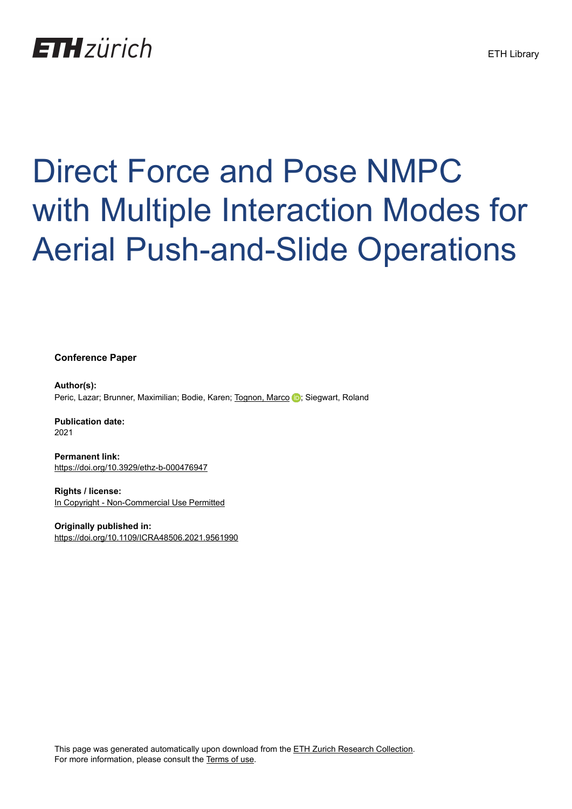## **ETH** zürich

# Direct Force and Pose NMPC with Multiple Interaction Modes for Aerial Push-and-Slide Operations

**Conference Paper**

**Author(s):** Peric, Lazar; Brunner, Maximilian; Bodie, Karen; [Tognon, Marco](https://orcid.org/0000-0003-1700-9637) D; Siegwart, Roland

**Publication date:** 2021

**Permanent link:** <https://doi.org/10.3929/ethz-b-000476947>

**Rights / license:** [In Copyright - Non-Commercial Use Permitted](http://rightsstatements.org/page/InC-NC/1.0/)

**Originally published in:** <https://doi.org/10.1109/ICRA48506.2021.9561990>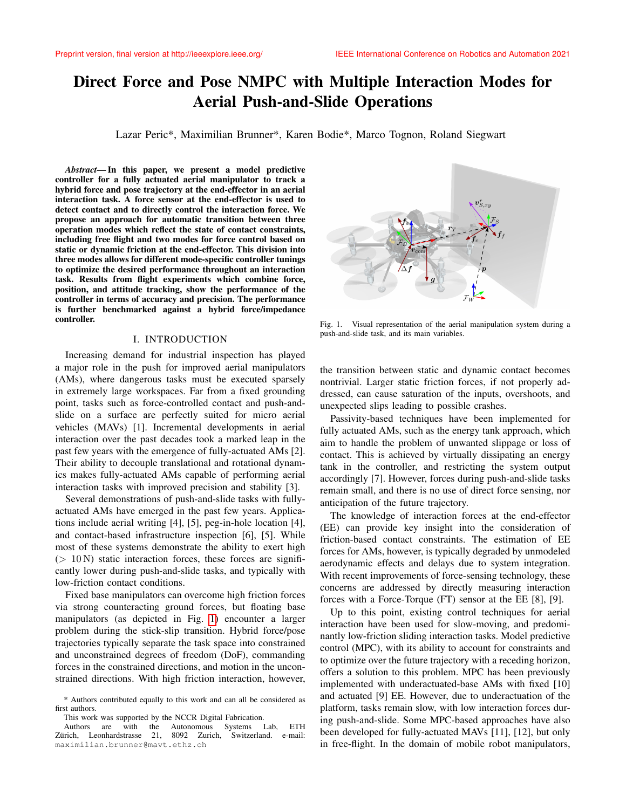### Direct Force and Pose NMPC with Multiple Interaction Modes for Aerial Push-and-Slide Operations

Lazar Peric\*, Maximilian Brunner\*, Karen Bodie\*, Marco Tognon, Roland Siegwart

*Abstract*— In this paper, we present a model predictive controller for a fully actuated aerial manipulator to track a hybrid force and pose trajectory at the end-effector in an aerial interaction task. A force sensor at the end-effector is used to detect contact and to directly control the interaction force. We propose an approach for automatic transition between three operation modes which reflect the state of contact constraints, including free flight and two modes for force control based on static or dynamic friction at the end-effector. This division into three modes allows for different mode-specific controller tunings to optimize the desired performance throughout an interaction task. Results from flight experiments which combine force, position, and attitude tracking, show the performance of the controller in terms of accuracy and precision. The performance is further benchmarked against a hybrid force/impedance controller.

#### I. INTRODUCTION

<span id="page-1-1"></span>Increasing demand for industrial inspection has played a major role in the push for improved aerial manipulators (AMs), where dangerous tasks must be executed sparsely in extremely large workspaces. Far from a fixed grounding point, tasks such as force-controlled contact and push-andslide on a surface are perfectly suited for micro aerial vehicles (MAVs) [1]. Incremental developments in aerial interaction over the past decades took a marked leap in the past few years with the emergence of fully-actuated AMs [2]. Their ability to decouple translational and rotational dynamics makes fully-actuated AMs capable of performing aerial interaction tasks with improved precision and stability [3].

Several demonstrations of push-and-slide tasks with fullyactuated AMs have emerged in the past few years. Applications include aerial writing [4], [5], peg-in-hole location [4], and contact-based infrastructure inspection [6], [5]. While most of these systems demonstrate the ability to exert high  $(> 10 N)$  static interaction forces, these forces are significantly lower during push-and-slide tasks, and typically with low-friction contact conditions.

Fixed base manipulators can overcome high friction forces via strong counteracting ground forces, but floating base manipulators (as depicted in Fig. [1\)](#page-1-0) encounter a larger problem during the stick-slip transition. Hybrid force/pose trajectories typically separate the task space into constrained and unconstrained degrees of freedom (DoF), commanding forces in the constrained directions, and motion in the unconstrained directions. With high friction interaction, however,



<span id="page-1-0"></span>Fig. 1. Visual representation of the aerial manipulation system during a push-and-slide task, and its main variables.

the transition between static and dynamic contact becomes nontrivial. Larger static friction forces, if not properly addressed, can cause saturation of the inputs, overshoots, and unexpected slips leading to possible crashes.

Passivity-based techniques have been implemented for fully actuated AMs, such as the energy tank approach, which aim to handle the problem of unwanted slippage or loss of contact. This is achieved by virtually dissipating an energy tank in the controller, and restricting the system output accordingly [7]. However, forces during push-and-slide tasks remain small, and there is no use of direct force sensing, nor anticipation of the future trajectory.

The knowledge of interaction forces at the end-effector (EE) can provide key insight into the consideration of friction-based contact constraints. The estimation of EE forces for AMs, however, is typically degraded by unmodeled aerodynamic effects and delays due to system integration. With recent improvements of force-sensing technology, these concerns are addressed by directly measuring interaction forces with a Force-Torque (FT) sensor at the EE [8], [9].

Up to this point, existing control techniques for aerial interaction have been used for slow-moving, and predominantly low-friction sliding interaction tasks. Model predictive control (MPC), with its ability to account for constraints and to optimize over the future trajectory with a receding horizon, offers a solution to this problem. MPC has been previously implemented with underactuated-base AMs with fixed [10] and actuated [9] EE. However, due to underactuation of the platform, tasks remain slow, with low interaction forces during push-and-slide. Some MPC-based approaches have also been developed for fully-actuated MAVs [11], [12], but only in free-flight. In the domain of mobile robot manipulators,

<sup>\*</sup> Authors contributed equally to this work and can all be considered as first authors.

This work was supported by the NCCR Digital Fabrication.

Authors are with the Autonomous Systems Lab, ETH Zürich, Leonhardstrasse 21, 8092 Zurich, Switzerland. e-mail: maximilian.brunner@mavt.ethz.ch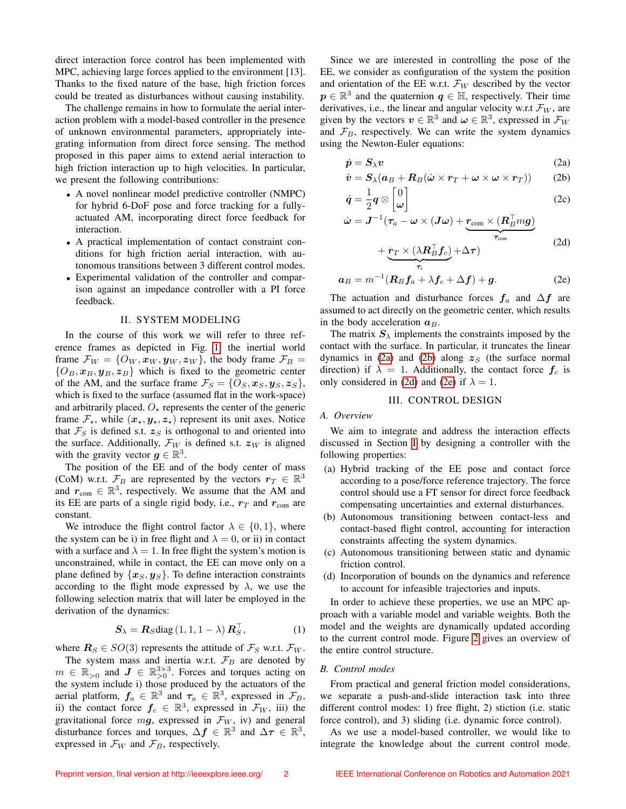direct interaction force control has been implemented with MPC, achieving large forces applied to the environment [13]. Thanks to the fixed nature of the base, high friction forces could be treated as disturbances without causing instability.

The challenge remains in how to formulate the aerial interaction problem with a model-based controller in the presence of unknown environmental parameters, appropriately integrating information from direct force sensing. The method proposed in this paper aims to extend aerial interaction to high friction interaction up to high velocities. In particular, we present the following contributions:

- A novel nonlinear model predictive controller (NMPC) for hybrid 6-DoF pose and force tracking for a fullyactuated AM, incorporating direct force feedback for interaction.
- A practical implementation of contact constraint conditions for high friction aerial interaction, with autonomous transitions between 3 different control modes.
- Experimental validation of the controller and comparison against an impedance controller with a PI force feedback.

#### II. SYSTEM MODELING

<span id="page-2-4"></span>In the course of this work we will refer to three reference frames as depicted in Fig. [1:](#page-1-0) the inertial world frame  $\mathcal{F}_W = \{O_W, \mathbf{x}_W, \mathbf{y}_W, \mathbf{z}_W\}$ , the body frame  $\mathcal{F}_B =$  ${O_B, x_B, y_B, z_B}$  which is fixed to the geometric center of the AM, and the surface frame  $\mathcal{F}_S = \{O_S, \mathbf{x}_S, \mathbf{y}_S, \mathbf{z}_S\},\$ which is fixed to the surface (assumed flat in the work-space) and arbitrarily placed.  $O_{\star}$  represents the center of the generic frame  $\mathcal{F}_{\star}$ , while  $(x_{\star}, y_{\star}, z_{\star})$  represent its unit axes. Notice that  $\mathcal{F}_S$  is defined s.t.  $\mathbf{z}_S$  is orthogonal to and oriented into the surface. Additionally,  $\mathcal{F}_W$  is defined s.t.  $z_W$  is aligned with the gravity vector  $g \in \mathbb{R}^3$ .

The position of the EE and of the body center of mass (CoM) w.r.t.  $\mathcal{F}_B$  are represented by the vectors  $r_T \in \mathbb{R}^3$ and  $r_{\text{com}} \in \mathbb{R}^3$ , respectively. We assume that the AM and its EE are parts of a single rigid body, i.e.,  $r<sub>T</sub>$  and  $r<sub>com</sub>$  are constant.

We introduce the flight control factor  $\lambda \in \{0, 1\}$ , where the system can be i) in free flight and  $\lambda = 0$ , or ii) in contact with a surface and  $\lambda = 1$ . In free flight the system's motion is unconstrained, while in contact, the EE can move only on a plane defined by  $\{x_S, y_S\}$ . To define interaction constraints according to the flight mode expressed by  $\lambda$ , we use the following selection matrix that will later be employed in the derivation of the dynamics:

<span id="page-2-0"></span>
$$
\mathbf{S}_{\lambda} = \mathbf{R}_{S} \text{diag} (1, 1, 1 - \lambda) \mathbf{R}_{S}^{\top}, \tag{1}
$$

where  $\mathbf{R}_S \in SO(3)$  represents the attitude of  $\mathcal{F}_S$  w.r.t.  $\mathcal{F}_W$ .

The system mass and inertia w.r.t.  $\mathcal{F}_B$  are denoted by  $m \in \mathbb{R}_{>0}$  and  $J \in \mathbb{R}_{>0}^{3\times 3}$ . Forces and torques acting on the system include i) those produced by the actuators of the aerial platform,  $f_a \in \mathbb{R}^3$  and  $\tau_a \in \mathbb{R}^3$ , expressed in  $\mathcal{F}_B$ , ii) the contact force  $f_c \in \mathbb{R}^3$ , expressed in  $\mathcal{F}_W$ , iii) the gravitational force  $mg$ , expressed in  $\mathcal{F}_W$ , iv) and general disturbance forces and torques,  $\Delta f \in \mathbb{R}^3$  and  $\Delta \tau \in \mathbb{R}^3$ , expressed in  $\mathcal{F}_W$  and  $\mathcal{F}_B$ , respectively.

Since we are interested in controlling the pose of the EE, we consider as configuration of the system the position and orientation of the EE w.r.t.  $\mathcal{F}_W$  described by the vector  $p \in \mathbb{R}^3$  and the quaternion  $q \in \mathbb{H}$ , respectively. Their time derivatives, i.e., the linear and angular velocity w.r.t  $\mathcal{F}_W$ , are given by the vectors  $v \in \mathbb{R}^3$  and  $\omega \in \mathbb{R}^3$ , expressed in  $\mathcal{F}_W$ and  $\mathcal{F}_B$ , respectively. We can write the system dynamics using the Newton-Euler equations:

<span id="page-2-1"></span>
$$
\dot{\mathbf{p}} = \mathbf{S}_{\lambda} \mathbf{v} \tag{2a}
$$

$$
\dot{\boldsymbol{v}} = \boldsymbol{S}_{\lambda} (\boldsymbol{a}_{B} + \boldsymbol{R}_{B} (\dot{\boldsymbol{\omega}} \times \boldsymbol{r}_{T} + \boldsymbol{\omega} \times \boldsymbol{\omega} \times \boldsymbol{r}_{T})) \qquad (2b)
$$

$$
\dot{\boldsymbol{q}} = \frac{1}{2}\boldsymbol{q} \otimes \begin{bmatrix} 0 \\ \boldsymbol{\omega} \end{bmatrix} \tag{2c}
$$

$$
\dot{\boldsymbol{\omega}} = \boldsymbol{J}^{-1}(\boldsymbol{\tau}_a - \boldsymbol{\omega} \times (\boldsymbol{J}\boldsymbol{\omega}) + \underbrace{\boldsymbol{r}_{\text{com}} \times (\boldsymbol{R}_B^\top \boldsymbol{m}\boldsymbol{g})}_{\boldsymbol{\tau}_{\text{com}}}
$$
(2d)

<span id="page-2-3"></span><span id="page-2-2"></span>
$$
+\underbrace{r_T\times (\lambda\bm{R}_B^\top\bm{f}_c)}_{\bm{\tau}_c} + \Delta\bm{\tau})
$$
 (2a)

$$
a_B = m^{-1} (R_B f_a + \lambda f_c + \Delta f) + g.
$$
 (2e)

The actuation and disturbance forces  $f_a$  and  $\Delta f$  are assumed to act directly on the geometric center, which results in the body acceleration  $a_B$ .

The matrix  $S_{\lambda}$  implements the constraints imposed by the contact with the surface. In particular, it truncates the linear dynamics in [\(2a\)](#page-2-0) and [\(2b\)](#page-2-1) along  $z<sub>S</sub>$  (the surface normal direction) if  $\lambda = 1$ . Additionally, the contact force  $f_c$  is only considered in [\(2d\)](#page-2-2) and [\(2e\)](#page-2-3) if  $\lambda = 1$ .

#### III. CONTROL DESIGN

#### *A. Overview*

We aim to integrate and address the interaction effects discussed in Section [I](#page-1-1) by designing a controller with the following properties:

- (a) Hybrid tracking of the EE pose and contact force according to a pose/force reference trajectory. The force control should use a FT sensor for direct force feedback compensating uncertainties and external disturbances.
- (b) Autonomous transitioning between contact-less and contact-based flight control, accounting for interaction constraints affecting the system dynamics.
- (c) Autonomous transitioning between static and dynamic friction control.
- (d) Incorporation of bounds on the dynamics and reference to account for infeasible trajectories and inputs.

In order to achieve these properties, we use an MPC approach with a variable model and variable weights. Both the model and the weights are dynamically updated according to the current control mode. Figure [2](#page-3-0) gives an overview of the entire control structure.

#### *B. Control modes*

From practical and general friction model considerations, we separate a push-and-slide interaction task into three different control modes: 1) free flight, 2) stiction (i.e. static force control), and 3) sliding (i.e. dynamic force control).

As we use a model-based controller, we would like to integrate the knowledge about the current control mode.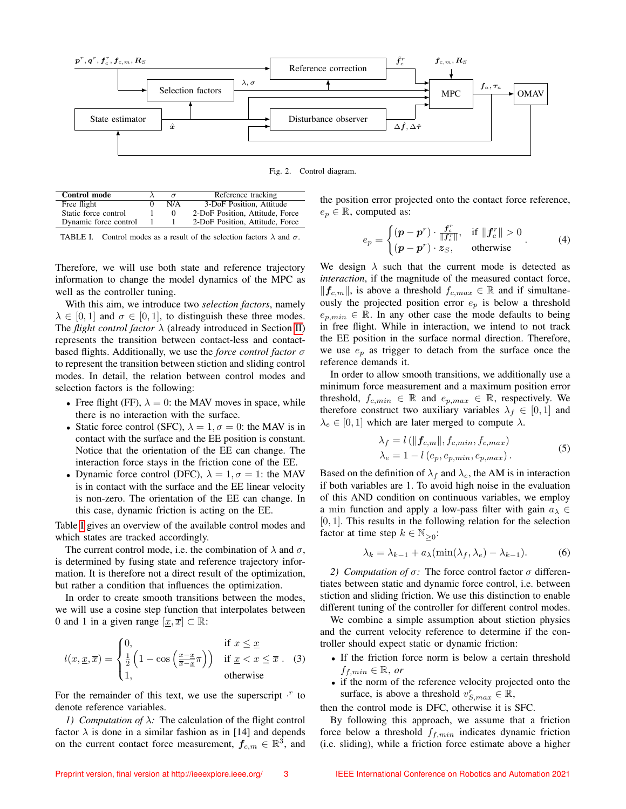

<span id="page-3-0"></span>Fig. 2. Control diagram.

| Control mode          |     | Reference tracking              |
|-----------------------|-----|---------------------------------|
| Free flight           | N/A | 3-DoF Position, Attitude        |
| Static force control  |     | 2-DoF Position, Attitude, Force |
| Dynamic force control |     | 2-DoF Position, Attitude, Force |

<span id="page-3-1"></span>TABLE I. Control modes as a result of the selection factors  $\lambda$  and  $\sigma$ .

Therefore, we will use both state and reference trajectory information to change the model dynamics of the MPC as well as the controller tuning.

With this aim, we introduce two *selection factors*, namely  $\lambda \in [0, 1]$  and  $\sigma \in [0, 1]$ , to distinguish these three modes. The *flight control factor*  $\lambda$  (already introduced in Section [II\)](#page-2-4) represents the transition between contact-less and contactbased flights. Additionally, we use the *force control factor* σ to represent the transition between stiction and sliding control modes. In detail, the relation between control modes and selection factors is the following:

- Free flight (FF),  $\lambda = 0$ : the MAV moves in space, while there is no interaction with the surface.
- Static force control (SFC),  $\lambda = 1, \sigma = 0$ : the MAV is in contact with the surface and the EE position is constant. Notice that the orientation of the EE can change. The interaction force stays in the friction cone of the EE.
- Dynamic force control (DFC),  $\lambda = 1$ ,  $\sigma = 1$ : the MAV is in contact with the surface and the EE linear velocity is non-zero. The orientation of the EE can change. In this case, dynamic friction is acting on the EE.

Table [I](#page-3-1) gives an overview of the available control modes and which states are tracked accordingly.

The current control mode, i.e. the combination of  $\lambda$  and  $\sigma$ , is determined by fusing state and reference trajectory information. It is therefore not a direct result of the optimization, but rather a condition that influences the optimization.

In order to create smooth transitions between the modes, we will use a cosine step function that interpolates between 0 and 1 in a given range  $[x, \overline{x}] \subset \mathbb{R}$ :

$$
l(x, \underline{x}, \overline{x}) = \begin{cases} 0, & \text{if } x \leq \underline{x} \\ \frac{1}{2} \left( 1 - \cos \left( \frac{x - \underline{x}}{\overline{x} - \underline{x}} \pi \right) \right) & \text{if } \underline{x} < x \leq \overline{x} \end{cases} \tag{3}
$$

For the remainder of this text, we use the superscript  $\cdot^r$  to denote reference variables.

*1) Computation of* λ*:* The calculation of the flight control factor  $\lambda$  is done in a similar fashion as in [14] and depends on the current contact force measurement,  $\boldsymbol{f}_{c,m} \in \mathbb{R}^3$ , and

the position error projected onto the contact force reference,  $e_p \in \mathbb{R}$ , computed as:

$$
e_p = \begin{cases} (\boldsymbol{p} - \boldsymbol{p}^r) \cdot \frac{\boldsymbol{f}_c^r}{\|\boldsymbol{f}_c^r\|}, & \text{if } \|\boldsymbol{f}_c^r\| > 0\\ (\boldsymbol{p} - \boldsymbol{p}^r) \cdot \boldsymbol{z}_S, & \text{otherwise} \end{cases}
$$
 (4)

We design  $\lambda$  such that the current mode is detected as *interaction*, if the magnitude of the measured contact force,  $||f_{c,m}||$ , is above a threshold  $f_{c,max} \in \mathbb{R}$  and if simultaneously the projected position error  $e_p$  is below a threshold  $e_{p,min} \in \mathbb{R}$ . In any other case the mode defaults to being in free flight. While in interaction, we intend to not track the EE position in the surface normal direction. Therefore, we use  $e_p$  as trigger to detach from the surface once the reference demands it.

In order to allow smooth transitions, we additionally use a minimum force measurement and a maximum position error threshold,  $f_{c,min} \in \mathbb{R}$  and  $e_{p,max} \in \mathbb{R}$ , respectively. We therefore construct two auxiliary variables  $\lambda_f \in [0,1]$  and  $\lambda_e \in [0, 1]$  which are later merged to compute  $\lambda$ .

$$
\lambda_f = l(||f_{c,m}||, f_{c,min}, f_{c,max})
$$
  
\n
$$
\lambda_e = 1 - l(e_p, e_{p,min}, e_{p,max}).
$$
\n(5)

Based on the definition of  $\lambda_f$  and  $\lambda_e$ , the AM is in interaction if both variables are 1. To avoid high noise in the evaluation of this AND condition on continuous variables, we employ a min function and apply a low-pass filter with gain  $a_{\lambda} \in$  $[0, 1]$ . This results in the following relation for the selection factor at time step  $k \in \mathbb{N}_{\geq 0}$ :

$$
\lambda_k = \lambda_{k-1} + a_{\lambda}(\min(\lambda_f, \lambda_e) - \lambda_{k-1}).
$$
 (6)

*2) Computation of*  $\sigma$ : The force control factor  $\sigma$  differentiates between static and dynamic force control, i.e. between stiction and sliding friction. We use this distinction to enable different tuning of the controller for different control modes.

We combine a simple assumption about stiction physics and the current velocity reference to determine if the controller should expect static or dynamic friction:

- If the friction force norm is below a certain threshold  $f_{f,min} \in \mathbb{R}, or$
- if the norm of the reference velocity projected onto the surface, is above a threshold  $v_{S,max}^r \in \mathbb{R}$ ,

then the control mode is DFC, otherwise it is SFC.

By following this approach, we assume that a friction force below a threshold  $f_{f,min}$  indicates dynamic friction (i.e. sliding), while a friction force estimate above a higher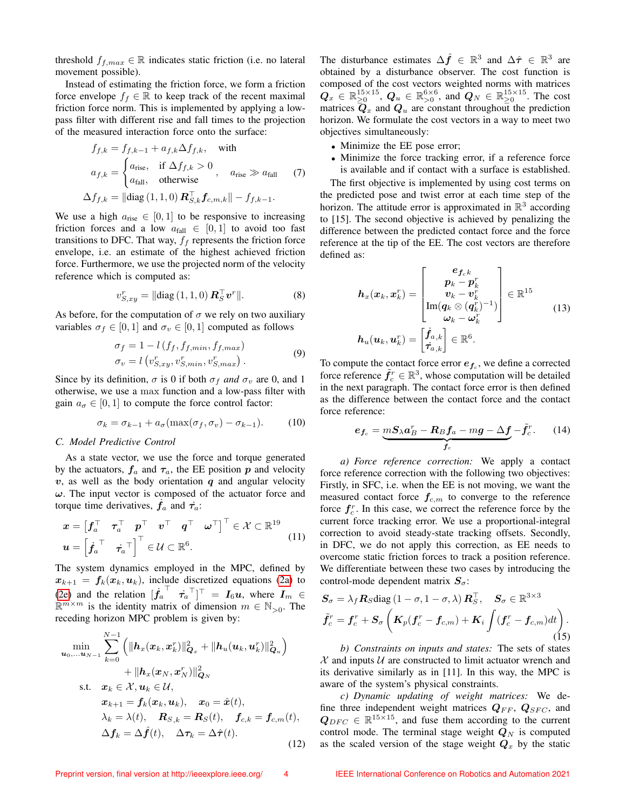threshold  $f_{f,max} \in \mathbb{R}$  indicates static friction (i.e. no lateral movement possible).

Instead of estimating the friction force, we form a friction force envelope  $f_f \in \mathbb{R}$  to keep track of the recent maximal friction force norm. This is implemented by applying a lowpass filter with different rise and fall times to the projection of the measured interaction force onto the surface:

$$
f_{f,k} = f_{f,k-1} + a_{f,k} \Delta f_{f,k}, \text{ with}
$$

$$
a_{f,k} = \begin{cases} a_{\text{rise}}, & \text{if } \Delta f_{f,k} > 0 \\ a_{\text{fall}}, & \text{otherwise} \end{cases}, \quad a_{\text{rise}} \gg a_{\text{fall}} \quad (7)
$$

$$
\Delta f_{f,k} = ||\text{diag}(1,1,0) \mathbf{R}_{S,k}^{\top} \mathbf{f}_{c,m,k}|| - f_{f,k-1}.
$$

We use a high  $a_{\text{rise}} \in [0, 1]$  to be responsive to increasing friction forces and a low  $a_{fall} \in [0, 1]$  to avoid too fast transitions to DFC. That way,  $f_f$  represents the friction force envelope, i.e. an estimate of the highest achieved friction force. Furthermore, we use the projected norm of the velocity reference which is computed as:

$$
v_{S,xy}^r = \|\text{diag}(1,1,0)\,\mathbf{R}_S^\top \mathbf{v}^r\|.\tag{8}
$$

As before, for the computation of  $\sigma$  we rely on two auxiliary variables  $\sigma_f \in [0, 1]$  and  $\sigma_v \in [0, 1]$  computed as follows

$$
\sigma_f = 1 - l(f_f, f_{f,min}, f_{f,max})
$$
  
\n
$$
\sigma_v = l(v_{S,xy}^r, v_{S,min}^r, v_{S,max}^r).
$$
\n(9)

Since by its definition,  $\sigma$  is 0 if both  $\sigma_f$  *and*  $\sigma_v$  are 0, and 1 otherwise, we use a max function and a low-pass filter with gain  $a_{\sigma} \in [0, 1]$  to compute the force control factor:

$$
\sigma_k = \sigma_{k-1} + a_{\sigma}(\max(\sigma_f, \sigma_v) - \sigma_{k-1}). \tag{10}
$$

#### *C. Model Predictive Control*

As a state vector, we use the force and torque generated by the actuators,  $f_a$  and  $\tau_a$ , the EE position p and velocity  $v$ , as well as the body orientation  $q$  and angular velocity  $\omega$ . The input vector is composed of the actuator force and torque time derivatives,  $\dot{f}_a$  and  $\dot{\tau}_a$ :

$$
\mathbf{x} = \begin{bmatrix} \mathbf{f}_a^\top & \boldsymbol{\tau}_a^\top & \mathbf{p}^\top & \mathbf{v}^\top & \mathbf{q}^\top & \boldsymbol{\omega}^\top \end{bmatrix}^\top \in \mathcal{X} \subset \mathbb{R}^{19}
$$
\n
$$
\mathbf{u} = \begin{bmatrix} \dot{\mathbf{f}}_a^\top & \dot{\boldsymbol{\tau}}_a^\top \end{bmatrix}^\top \in \mathcal{U} \subset \mathbb{R}^6.
$$
\n(11)

The system dynamics employed in the MPC, defined by  $x_{k+1} = f_k(x_k, u_k)$ , include discretized equations [\(2a\)](#page-2-0) to [\(2e\)](#page-2-3) and the relation  $[\dot{f}_a]$  $\begin{bmatrix} \tau_a^{\top} \end{bmatrix}$   $\tau_a$   $\tau$  =  $I_6 u$ , where  $I_m \in$  $\mathbb{R}^{m \times m}$  is the identity matrix of dimension  $m \in \mathbb{N}_{>0}$ . The receding horizon MPC problem is given by:

$$
\min_{\mathbf{u}_0,\dots \mathbf{u}_{N-1}} \sum_{k=0}^{N-1} \left( \|h_x(\mathbf{x}_k, \mathbf{x}_k^r)\|_{\mathbf{Q}_x}^2 + \|h_u(\mathbf{u}_k, \mathbf{u}_k^r)\|_{\mathbf{Q}_u}^2 \right) \n+ \|h_x(\mathbf{x}_N, \mathbf{x}_N^r)\|_{\mathbf{Q}_N}^2 \n\text{s.t.} \quad \mathbf{x}_k \in \mathcal{X}, \mathbf{u}_k \in \mathcal{U}, \n\mathbf{x}_{k+1} = f_k(\mathbf{x}_k, \mathbf{u}_k), \quad \mathbf{x}_0 = \hat{\mathbf{x}}(t), \n\lambda_k = \lambda(t), \quad \mathbf{R}_{S,k} = \mathbf{R}_S(t), \quad \mathbf{f}_{c,k} = \mathbf{f}_{c,m}(t), \n\Delta \mathbf{f}_k = \Delta \hat{\mathbf{f}}(t), \quad \Delta \boldsymbol{\tau}_k = \Delta \hat{\boldsymbol{\tau}}(t).
$$
\n(12)

The disturbance estimates  $\Delta \hat{f} \in \mathbb{R}^3$  and  $\Delta \hat{\tau} \in \mathbb{R}^3$  are obtained by a disturbance observer. The cost function is composed of the cost vectors weighted norms with matrices  $\bm{Q}_x \in \mathbb{R}_{\geq 0}^{15 \times 15}$ ,  $\bm{Q}_u \in \mathbb{R}_{>0}^{6 \times 6}$ , and  $\bm{Q}_N \in \mathbb{R}_{\geq 0}^{15 \times 15}$ . The cost matrices  $\overline{\mathbf{Q}}_{x}$  and  $\mathbf{Q}_{u}$  are constant throughout the prediction horizon. We formulate the cost vectors in a way to meet two objectives simultaneously:

- <span id="page-4-0"></span>• Minimize the EE pose error;
- Minimize the force tracking error, if a reference force is available and if contact with a surface is established.

The first objective is implemented by using cost terms on the predicted pose and twist error at each time step of the horizon. The attitude error is approximated in  $\mathbb{R}^3$  according to [15]. The second objective is achieved by penalizing the difference between the predicted contact force and the force reference at the tip of the EE. The cost vectors are therefore defined as:

$$
h_x(x_k, x_k^r) = \begin{bmatrix} e_{f_c k} \\ p_k - p_k^r \\ v_k - v_k^r \\ \text{Im}(q_k \otimes (q_k^r)^{-1}) \\ \omega_k - \omega_k^r \end{bmatrix} \in \mathbb{R}^{15}
$$
\n
$$
h_u(u_k, u_k^r) = \begin{bmatrix} \dot{f}_{a,k} \\ \dot{\tau}_{a,k} \end{bmatrix} \in \mathbb{R}^6.
$$
\n
$$
(13)
$$

To compute the contact force error  $e_{f_c}$ , we define a corrected force reference  $\tilde{f}_c^r \in \mathbb{R}^3$ , whose computation will be detailed in the next paragraph. The contact force error is then defined as the difference between the contact force and the contact force reference:

$$
e_{f_c} = \underbrace{mS_\lambda a_B^r - R_B f_a - mg - \Delta f}_{f_c} - \tilde{f}_c^r. \tag{14}
$$

*a) Force reference correction:* We apply a contact force reference correction with the following two objectives: Firstly, in SFC, i.e. when the EE is not moving, we want the measured contact force  $f_{c,m}$  to converge to the reference force  $f_c^r$ . In this case, we correct the reference force by the current force tracking error. We use a proportional-integral correction to avoid steady-state tracking offsets. Secondly, in DFC, we do not apply this correction, as EE needs to overcome static friction forces to track a position reference. We differentiate between these two cases by introducing the control-mode dependent matrix  $S_{\sigma}$ :

$$
S_{\sigma} = \lambda_f \mathbf{R}_S \text{diag} (1 - \sigma, 1 - \sigma, \lambda) \mathbf{R}_S^{\top}, \quad S_{\sigma} \in \mathbb{R}^{3 \times 3}
$$

$$
\tilde{f}_c^r = f_c^r + S_{\sigma} \left( \mathbf{K}_p (\mathbf{f}_c^r - \mathbf{f}_{c,m}) + \mathbf{K}_i \int (\mathbf{f}_c^r - \mathbf{f}_{c,m}) dt \right). \tag{15}
$$

*b) Constraints on inputs and states:* The sets of states  $X$  and inputs  $U$  are constructed to limit actuator wrench and its derivative similarly as in [11]. In this way, the MPC is aware of the system's physical constraints.

*c) Dynamic updating of weight matrices:* We define three independent weight matrices  $Q_{FF}$ ,  $Q_{SFC}$ , and  $Q_{DFC} \in \mathbb{R}^{15 \times 15}$ , and fuse them according to the current control mode. The terminal stage weight  $Q_N$  is computed as the scaled version of the stage weight  $Q_x$  by the static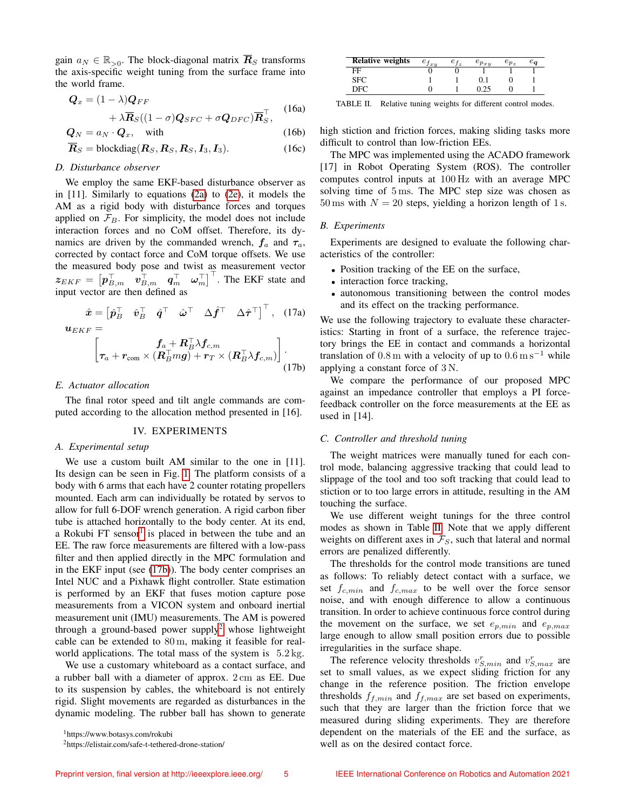gain  $a_N \in \mathbb{R}_{>0}$ . The block-diagonal matrix  $\overline{R}_S$  transforms the axis-specific weight tuning from the surface frame into the world frame.

$$
\mathbf{Q}_x = (1 - \lambda)\mathbf{Q}_{FF} + \lambda \overline{\mathbf{R}}_S((1 - \sigma)\mathbf{Q}_{SFC} + \sigma \mathbf{Q}_{DFC})\overline{\mathbf{R}}_S^\top,
$$
 (16a)

$$
\mathbf{Q}_N = a_N \cdot \mathbf{Q}_x, \quad \text{with} \tag{16b}
$$

$$
\overline{R}_S = \text{blockdiag}(\mathbf{R}_S, \mathbf{R}_S, \mathbf{R}_S, \mathbf{I}_3). \tag{16c}
$$

#### *D. Disturbance observer*

We employ the same EKF-based disturbance observer as in [11]. Similarly to equations [\(2a\)](#page-2-0) to [\(2e\)](#page-2-3), it models the AM as a rigid body with disturbance forces and torques applied on  $\mathcal{F}_B$ . For simplicity, the model does not include interaction forces and no CoM offset. Therefore, its dynamics are driven by the commanded wrench,  $f_a$  and  $\tau_a$ , corrected by contact force and CoM torque offsets. We use the measured body pose and twist as measurement vector  $z_{EKF} = \begin{bmatrix} p_{B,m}^{\top} & v_{B,m}^{\top} & q_m^{\top} & \omega_m^{\top} \end{bmatrix}^{\top}$ . The EKF state and input vector are then defined as

$$
\hat{\boldsymbol{x}} = \begin{bmatrix} \hat{\boldsymbol{p}}_B^\top & \hat{\boldsymbol{v}}_B^\top & \hat{\boldsymbol{q}}^\top & \hat{\boldsymbol{\omega}}^\top & \Delta \hat{\boldsymbol{f}}^\top & \Delta \hat{\boldsymbol{\tau}}^\top \end{bmatrix}^\top, \quad (17a)
$$

$$
\boldsymbol{u}_{EKF} =
$$

$$
\begin{bmatrix} f_a + \boldsymbol{R}_{B}^\top \lambda f_{c,m} \\ \boldsymbol{\tau}_a + \boldsymbol{r}_{\text{com}} \times (\boldsymbol{R}_{B}^\top m \boldsymbol{g}) + \boldsymbol{r}_T \times (\boldsymbol{R}_{B}^\top \lambda f_{c,m}) \end{bmatrix} . \tag{17b}
$$

#### *E. Actuator allocation*

The final rotor speed and tilt angle commands are computed according to the allocation method presented in [16].

#### IV. EXPERIMENTS

#### *A. Experimental setup*

We use a custom built AM similar to the one in [11]. Its design can be seen in Fig. [1.](#page-1-0) The platform consists of a body with 6 arms that each have 2 counter rotating propellers mounted. Each arm can individually be rotated by servos to allow for full 6-DOF wrench generation. A rigid carbon fiber tube is attached horizontally to the body center. At its end, a Rokubi FT sensor $<sup>1</sup>$  $<sup>1</sup>$  $<sup>1</sup>$  is placed in between the tube and an</sup> EE. The raw force measurements are filtered with a low-pass filter and then applied directly in the MPC formulation and in the EKF input (see [\(17b\)](#page-5-1)). The body center comprises an Intel NUC and a Pixhawk flight controller. State estimation is performed by an EKF that fuses motion capture pose measurements from a VICON system and onboard inertial measurement unit (IMU) measurements. The AM is powered through a ground-based power supply<sup>[2](#page-5-2)</sup> whose lightweight cable can be extended to 80 m, making it feasible for realworld applications. The total mass of the system is  $5.2 \text{ kg}$ .

We use a customary whiteboard as a contact surface, and a rubber ball with a diameter of approx. 2 cm as EE. Due to its suspension by cables, the whiteboard is not entirely rigid. Slight movements are regarded as disturbances in the dynamic modeling. The rubber ball has shown to generate

<span id="page-5-0"></span><sup>1</sup>https://www.botasys.com/rokubi

| <b>Relative weights</b> | $e_{f_{xy}}$ | $e_{f_z}$ | $e_{p_{x,y}}$ | $e_{p_z}$ | $e_{\bm{a}}$ |
|-------------------------|--------------|-----------|---------------|-----------|--------------|
| FF                      |              |           |               |           |              |
| SFC                     |              |           |               |           |              |
| DEC                     |              |           |               |           |              |

<span id="page-5-3"></span>TABLE II. Relative tuning weights for different control modes.

<span id="page-5-1"></span>high stiction and friction forces, making sliding tasks more difficult to control than low-friction EEs.

The MPC was implemented using the ACADO framework [17] in Robot Operating System (ROS). The controller computes control inputs at 100 Hz with an average MPC solving time of 5 ms. The MPC step size was chosen as 50 ms with  $N = 20$  steps, yielding a horizon length of 1 s.

#### *B. Experiments*

Experiments are designed to evaluate the following characteristics of the controller:

- Position tracking of the EE on the surface,
- interaction force tracking,
- autonomous transitioning between the control modes and its effect on the tracking performance.

We use the following trajectory to evaluate these characteristics: Starting in front of a surface, the reference trajectory brings the EE in contact and commands a horizontal translation of  $0.8 \text{ m}$  with a velocity of up to  $0.6 \text{ m s}^{-1}$  while applying a constant force of 3 N.

We compare the performance of our proposed MPC against an impedance controller that employs a PI forcefeedback controller on the force measurements at the EE as used in [14].

#### *C. Controller and threshold tuning*

The weight matrices were manually tuned for each control mode, balancing aggressive tracking that could lead to slippage of the tool and too soft tracking that could lead to stiction or to too large errors in attitude, resulting in the AM touching the surface.

We use different weight tunings for the three control modes as shown in Table [II.](#page-5-3) Note that we apply different weights on different axes in  $\mathcal{F}_S$ , such that lateral and normal errors are penalized differently.

The thresholds for the control mode transitions are tuned as follows: To reliably detect contact with a surface, we set  $f_{c,min}$  and  $f_{c,max}$  to be well over the force sensor noise, and with enough difference to allow a continuous transition. In order to achieve continuous force control during the movement on the surface, we set  $e_{p,min}$  and  $e_{p,max}$ large enough to allow small position errors due to possible irregularities in the surface shape.

The reference velocity thresholds  $v_{S,min}^r$  and  $v_{S,max}^r$  are set to small values, as we expect sliding friction for any change in the reference position. The friction envelope thresholds  $f_{f,min}$  and  $f_{f,max}$  are set based on experiments, such that they are larger than the friction force that we measured during sliding experiments. They are therefore dependent on the materials of the EE and the surface, as well as on the desired contact force.

<span id="page-5-2"></span><sup>2</sup>https://elistair.com/safe-t-tethered-drone-station/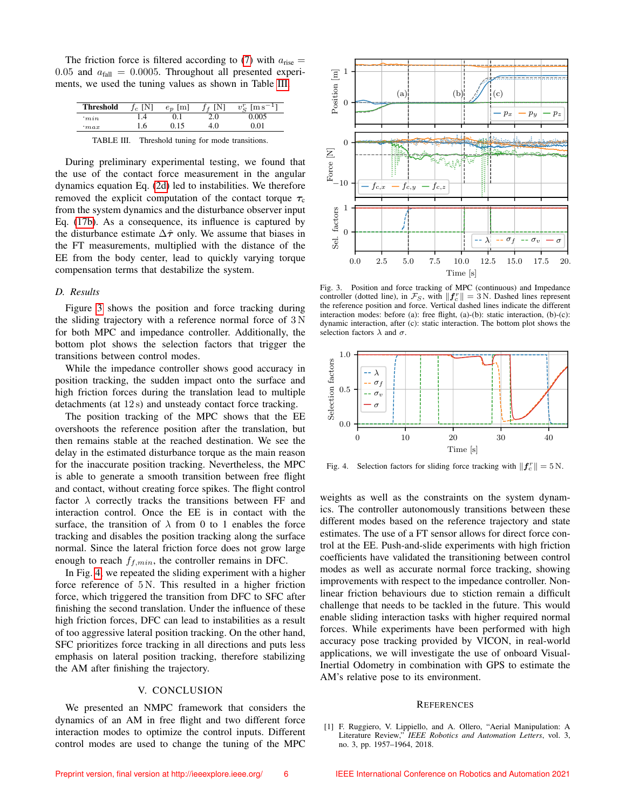The friction force is filtered according to [\(7\)](#page-4-0) with  $a_{\text{rise}} =$ 0.05 and  $a_{fall} = 0.0005$ . Throughout all presented experiments, we used the tuning values as shown in Table [III.](#page-6-0)

| <b>Threshold</b> |     | $\lceil m \rceil$<br>$e_p$ | [N]<br>$\overline{a}$ | $v_{\alpha}^r$<br>$\mathrm{fm}\,\mathrm{s}^-$ |
|------------------|-----|----------------------------|-----------------------|-----------------------------------------------|
| min              | .4  |                            | 2.0                   | 0.005                                         |
| max              | 1.6 | 0.15                       | 4.0                   | 0.01                                          |
| ________         | --  | .                          | $\sim$                |                                               |

<span id="page-6-0"></span>TABLE III. Threshold tuning for mode transitions.

During preliminary experimental testing, we found that the use of the contact force measurement in the angular dynamics equation Eq. [\(2d\)](#page-2-2) led to instabilities. We therefore removed the explicit computation of the contact torque  $\tau_c$ from the system dynamics and the disturbance observer input Eq. [\(17b\)](#page-5-1). As a consequence, its influence is captured by the disturbance estimate  $\Delta \hat{\tau}$  only. We assume that biases in the FT measurements, multiplied with the distance of the EE from the body center, lead to quickly varying torque compensation terms that destabilize the system.

#### *D. Results*

Figure [3](#page-6-1) shows the position and force tracking during the sliding trajectory with a reference normal force of 3 N for both MPC and impedance controller. Additionally, the bottom plot shows the selection factors that trigger the transitions between control modes.

While the impedance controller shows good accuracy in position tracking, the sudden impact onto the surface and high friction forces during the translation lead to multiple detachments (at 12 s) and unsteady contact force tracking.

The position tracking of the MPC shows that the EE overshoots the reference position after the translation, but then remains stable at the reached destination. We see the delay in the estimated disturbance torque as the main reason for the inaccurate position tracking. Nevertheless, the MPC is able to generate a smooth transition between free flight and contact, without creating force spikes. The flight control factor  $\lambda$  correctly tracks the transitions between FF and interaction control. Once the EE is in contact with the surface, the transition of  $\lambda$  from 0 to 1 enables the force tracking and disables the position tracking along the surface normal. Since the lateral friction force does not grow large enough to reach  $f_{f,min}$ , the controller remains in DFC.

In Fig. [4,](#page-6-2) we repeated the sliding experiment with a higher force reference of  $5N$ . This resulted in a higher friction force, which triggered the transition from DFC to SFC after finishing the second translation. Under the influence of these high friction forces, DFC can lead to instabilities as a result of too aggressive lateral position tracking. On the other hand, SFC prioritizes force tracking in all directions and puts less emphasis on lateral position tracking, therefore stabilizing the AM after finishing the trajectory.

#### V. CONCLUSION

We presented an NMPC framework that considers the dynamics of an AM in free flight and two different force interaction modes to optimize the control inputs. Different control modes are used to change the tuning of the MPC



<span id="page-6-1"></span>Fig. 3. Position and force tracking of MPC (continuous) and Impedance controller (dotted line), in  $\mathcal{F}_S$ , with  $||\mathbf{f}_c^r|| = 3$  N. Dashed lines represent the reference position and force. Vertical dashed lines indicate the different interaction modes: before (a): free flight, (a)-(b): static interaction, (b)-(c): dynamic interaction, after (c): static interaction. The bottom plot shows the selection factors  $\lambda$  and  $\sigma$ .



<span id="page-6-2"></span>Fig. 4. Selection factors for sliding force tracking with  $||f_c^r|| = 5$  N.

weights as well as the constraints on the system dynamics. The controller autonomously transitions between these different modes based on the reference trajectory and state estimates. The use of a FT sensor allows for direct force control at the EE. Push-and-slide experiments with high friction coefficients have validated the transitioning between control modes as well as accurate normal force tracking, showing improvements with respect to the impedance controller. Nonlinear friction behaviours due to stiction remain a difficult challenge that needs to be tackled in the future. This would enable sliding interaction tasks with higher required normal forces. While experiments have been performed with high accuracy pose tracking provided by VICON, in real-world applications, we will investigate the use of onboard Visual-Inertial Odometry in combination with GPS to estimate the AM's relative pose to its environment.

#### **REFERENCES**

[1] F. Ruggiero, V. Lippiello, and A. Ollero, "Aerial Manipulation: A Literature Review," *IEEE Robotics and Automation Letters*, vol. 3, no. 3, pp. 1957–1964, 2018.